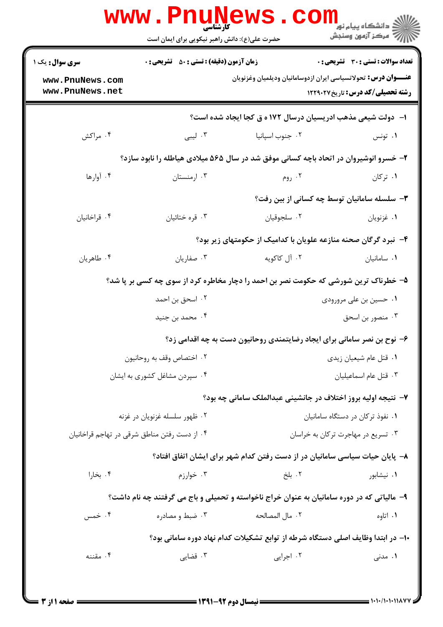|                                              | حضرت علی(ع): دانش راهبر نیکویی برای ایمان است |                                                                                                    | الله دانشگاه پیام نور<br>اگر کرکز آزمون وسنجش |  |
|----------------------------------------------|-----------------------------------------------|----------------------------------------------------------------------------------------------------|-----------------------------------------------|--|
| سری سوال: یک ۱                               |                                               | <b>زمان آزمون (دقیقه) : تستی : 50 ٪ تشریحی : 0</b><br><b>تعداد سوالات : تستی : 30 ٪ تشریحی : 0</b> |                                               |  |
| www.PnuNews.com<br>www.PnuNews.net           |                                               | <b>عنـــوان درس:</b> تحولاتسیاسی ایران ازدوسامانیان ودیلمیان وغزنویان                              | <b>رشته تحصیلی/کد درس: تاریخ ۱۲۲۹۰۲۷</b>      |  |
|                                              |                                               | ا- ً دولت شیعی مذهب ادریسیان درسال ۱۷۲ ه ق کجا ایجاد شده است؟                                      |                                               |  |
| ۰۴ مراکش                                     | ۰۳ لیبی                                       | ۰۲ جنوب اسپانیا                                                                                    | ۰۱ تونس                                       |  |
|                                              |                                               | ۲- خسرو انوشیروان در اتحاد باچه کسانی موفق شد در سال ۵۶۵ میلادی هیاطله را نابود سازد؟              |                                               |  |
| ۰۴ آوارها                                    | ۰۳ ارمنستان                                   | ۰۲ روم                                                                                             | ۰۱ ترکان                                      |  |
|                                              |                                               | ۳- سلسله سامانیان توسط چه کسانی از بین رفت؟                                                        |                                               |  |
| ۰۴ قراخانیان                                 | ۰۳ قره ختائيان                                | ٠٢ سلجوقيان                                                                                        | ٠١ غزنويان                                    |  |
|                                              |                                               | ۴– نبرد گرگان صحنه منازعه علویان با کدامیک از حکومتهای زیر بود؟                                    |                                               |  |
| ۰۴ طاهريان                                   | ۰۳ صفاريان                                    | ۰۲ آل کاکویه                                                                                       | ٠١ سامانيان                                   |  |
|                                              |                                               | ۵- خطرناک ترین شورشی که حکومت نصر بن احمد را دچار مخاطره کرد از سوی چه کسی بر پا شد؟               |                                               |  |
|                                              | ۰۲ اسحق بن احمد                               | ۰۱ حسین بن علی مرورودی                                                                             |                                               |  |
|                                              | ۰۴ محمد بن جنید                               |                                                                                                    | ۰۳ منصور بن اسحق                              |  |
|                                              |                                               | ۶- نوح بن نصر سامانی برای ایجاد رضایتمندی روحانیون دست به چه اقدامی زد؟                            |                                               |  |
|                                              | ۰۲ اختصاص وقف به روحانيون                     |                                                                                                    | ٠١ قتل عام شيعيان زيدي                        |  |
|                                              | ۰۴ سپردن مشاغل کشوری به ایشان                 |                                                                                                    | ٠٣ قتل عام اسماعيليان                         |  |
|                                              |                                               | ۷- نتیجه اولیه بروز اختلاف در جانشینی عبدالملک سامانی چه بود؟                                      |                                               |  |
| ۰۲ ظهور سلسله غزنويان در غزنه                |                                               | ٠١ نفوذ تركان در دستگاه سامانيان                                                                   |                                               |  |
| ۰۴ از دست رفتن مناطق شرقی در تهاجم قراخانیان |                                               | ۰۳ تسریع در مهاجرت ترکان به خراسان                                                                 |                                               |  |
|                                              |                                               | ۸– پایان حیات سیاسی سامانیان در از دست رفتن کدام شهر برای ایشان اتفاق افتاد؟                       |                                               |  |
| ۰۴ بخارا                                     | ۰۳ خوارزم $\cdot$                             | ۰۲ بلخ                                                                                             | ۰۱ نیشابور                                    |  |
|                                              |                                               | ۹- مالیاتی که در دوره سامانیان به عنوان خراج ناخواسته و تحمیلی و باج می گرفتند چه نام داشت؟        |                                               |  |
| ۰۴ خمس                                       | ۰۳ ضبط و مصادره                               | ٢. مال المصالحه                                                                                    | ۰۱ اتاوه                                      |  |
|                                              |                                               | ∙ا– در ابتدا وظایف اصلی دستگاه شرطه از توابع تشکیلات کدام نهاد دوره سامانی بود؟                    |                                               |  |
| ۰۴ مقننه                                     | ۰۳ قضایی                                      | ۰۲ اجرایی                                                                                          | ۰۱ مدنی                                       |  |

 $= 1.1 - (1.1.1)$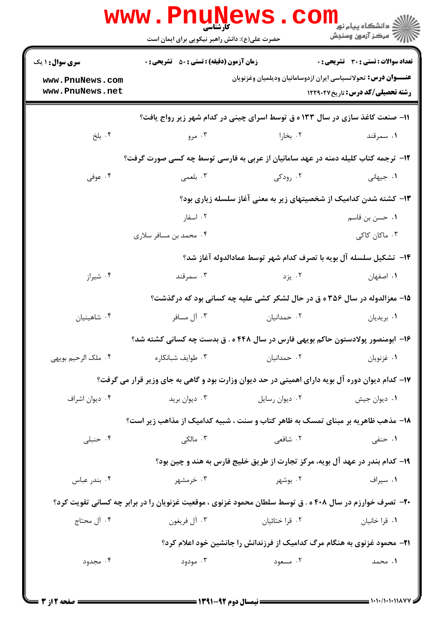|                                    | حضرت علی(ع): دانش راهبر نیکویی برای ایمان است                     | WWW.PNUNews.Com                                                                                                  | رُ⁄ مرڪز آزمون وسنڊش                         |  |
|------------------------------------|-------------------------------------------------------------------|------------------------------------------------------------------------------------------------------------------|----------------------------------------------|--|
| <b>سری سوال : ۱ یک</b>             | <b>زمان آزمون (دقیقه) : تستی : 50 ٪ تشریحی : 0</b>                |                                                                                                                  | <b>تعداد سوالات : تستی : 30 ٪ تشریحی : 0</b> |  |
| www.PnuNews.com<br>www.PnuNews.net |                                                                   | <b>عنـــوان درس:</b> تحولاتسیاسی ایران ازدوسامانیان ودیلمیان وغزنویان                                            | <b>رشته تحصیلی/کد درس:</b> تاریخ122912       |  |
|                                    |                                                                   | 11- صنعت کاغذ سازی در سال ۱۳۳ ه ق توسط اسرای چینی در کدام شهر زیر رواج یافت؟                                     |                                              |  |
| ۰۴ بلخ                             | ۰۳ مرو                                                            | ۰۲ بخارا                                                                                                         | ۰۱ سمرقند                                    |  |
|                                    |                                                                   | ۱۲- ترجمه کتاب کلیله دمنه در عهد سامانیان از عربی به فارسی توسط چه کسی صورت گرفت؟                                |                                              |  |
| ۰۴ عوفی                            | ۰۳ بلعمی                                                          | ۰۲ رودکی                                                                                                         | ۰۱ جیهانی                                    |  |
|                                    | ۱۳– کشته شدن کدامیک از شخصیتهای زیر به معنی آغاز سلسله زیاری بود؟ |                                                                                                                  |                                              |  |
|                                    | ۰۲ اسفار                                                          |                                                                                                                  | ۰۱ حسن بن قاسم                               |  |
|                                    | ۰۴ محمد بن مسافر سلاری                                            |                                                                                                                  | ۰۳ ماکان کاکی                                |  |
|                                    |                                                                   | 1۴–  تشكيل سلسله آل بويه با تصرف كدام شهر توسط عمادالدوله آغاز شد؟                                               |                                              |  |
| ۰۴ شیراز                           | ۰۳ سمرقند                                                         | ۰۲ یزد                                                                                                           | ٠١. اصفهان                                   |  |
|                                    |                                                                   | ۱۵- معزالدوله در سال ۳۵۶ ه ق در حال لشکر کشی علیه چه کسانی بود که درگذشت؟                                        |                                              |  |
| ۰۴ شاهینیان                        | ۰۳ آل مسافر                                                       | ۰۲ حمدانیان                                                                                                      | ۰۱ بریدیان                                   |  |
|                                    |                                                                   | ۱۶– ابومنصور پولادستون حاکم بویهی فارس در سال ۴۴۸ ه . ق بدست چه کسانی کشته شد؟                                   |                                              |  |
| ۰۴ ملک الرحیم بویهی                | ۰۳ طوايف شبانكاره                                                 | ۰۲ حمدانیان                                                                                                      | ٠١ غزنويان                                   |  |
|                                    |                                                                   | ۱۷– کدام دیوان دوره آل بویه دارای اهمیتی در حد دیوان وزارت بود و گاهی به جای وزیر قرار می گرفت؟                  |                                              |  |
| ۰۴ دیوان اشراف                     | ۰۳ دیوان برید                                                     | ۰۲ دیوان رسایل                                                                                                   | ۰۱ دیوان جیش                                 |  |
|                                    |                                                                   | ۱۸- مذهب ظاهریه بر مبنای تمسک به ظاهر کتاب و سنت ، شبیه کدامیک از مذاهب زیر است؟                                 |                                              |  |
| ۰۴ حنبلی                           | ۰۳ مالکی                                                          | ۰۲ شافعی                                                                                                         | ۰۱ حنفی                                      |  |
|                                    |                                                                   | ۱۹- کدام بندر در عهد آل بویه، مرکز تجارت از طریق خلیج فارس به هند و چین بود؟                                     |                                              |  |
| ۰۴ بندر عباس                       | ۰۳ خرمشهر                                                         | ۰۲ بوشهر                                                                                                         | ۰۱ سیراف                                     |  |
|                                    |                                                                   | <b>۲۰</b> - تصرف خوارزم در سال ۴۰۸ ه . ق توسط سلطان محمود غزنوی ، موقعیت غزنویان را در برابر چه کسانی تقویت کرد؟ |                                              |  |
| ۰۴ آل محتاج                        | ۰۳ آل فريغون                                                      | ۰۲ قرا ختائیان                                                                                                   | ۰۱ قرا خانیان                                |  |
|                                    |                                                                   | <b>۲۱</b> - محمود غزنوی به هنگام مرگ کدامیک از فرزندانش را جانشین خود اعلام کرد؟                                 |                                              |  |
| ۰۴ مجدود                           | ۰۳ مودود                                                          | ۰۲ مسعود                                                                                                         | ۰۱ محمد                                      |  |
|                                    |                                                                   |                                                                                                                  |                                              |  |